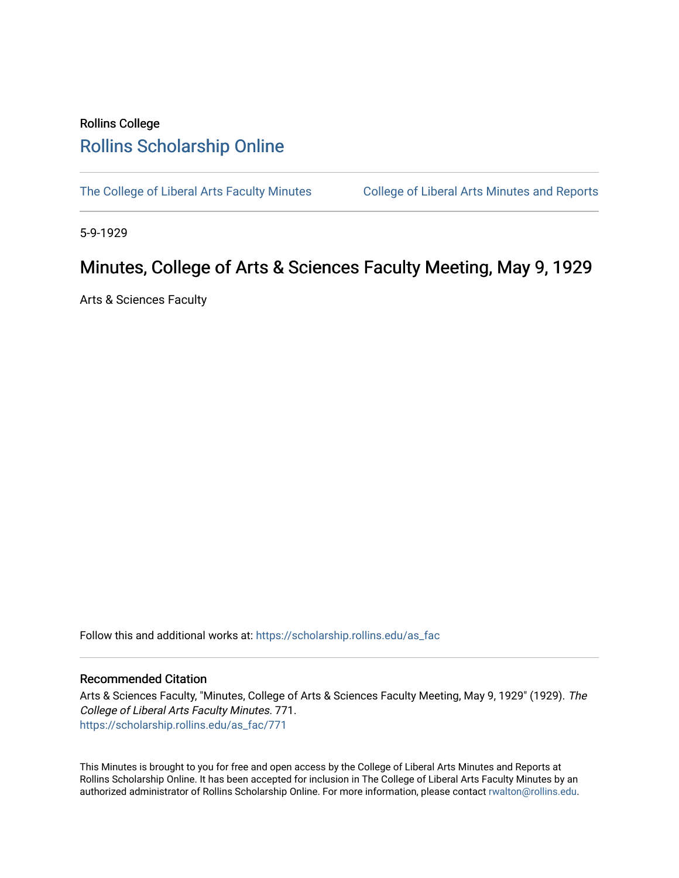## Rollins College [Rollins Scholarship Online](https://scholarship.rollins.edu/)

[The College of Liberal Arts Faculty Minutes](https://scholarship.rollins.edu/as_fac) College of Liberal Arts Minutes and Reports

5-9-1929

## Minutes, College of Arts & Sciences Faculty Meeting, May 9, 1929

Arts & Sciences Faculty

Follow this and additional works at: [https://scholarship.rollins.edu/as\\_fac](https://scholarship.rollins.edu/as_fac?utm_source=scholarship.rollins.edu%2Fas_fac%2F771&utm_medium=PDF&utm_campaign=PDFCoverPages) 

## Recommended Citation

Arts & Sciences Faculty, "Minutes, College of Arts & Sciences Faculty Meeting, May 9, 1929" (1929). The College of Liberal Arts Faculty Minutes. 771. [https://scholarship.rollins.edu/as\\_fac/771](https://scholarship.rollins.edu/as_fac/771?utm_source=scholarship.rollins.edu%2Fas_fac%2F771&utm_medium=PDF&utm_campaign=PDFCoverPages) 

This Minutes is brought to you for free and open access by the College of Liberal Arts Minutes and Reports at Rollins Scholarship Online. It has been accepted for inclusion in The College of Liberal Arts Faculty Minutes by an authorized administrator of Rollins Scholarship Online. For more information, please contact [rwalton@rollins.edu](mailto:rwalton@rollins.edu).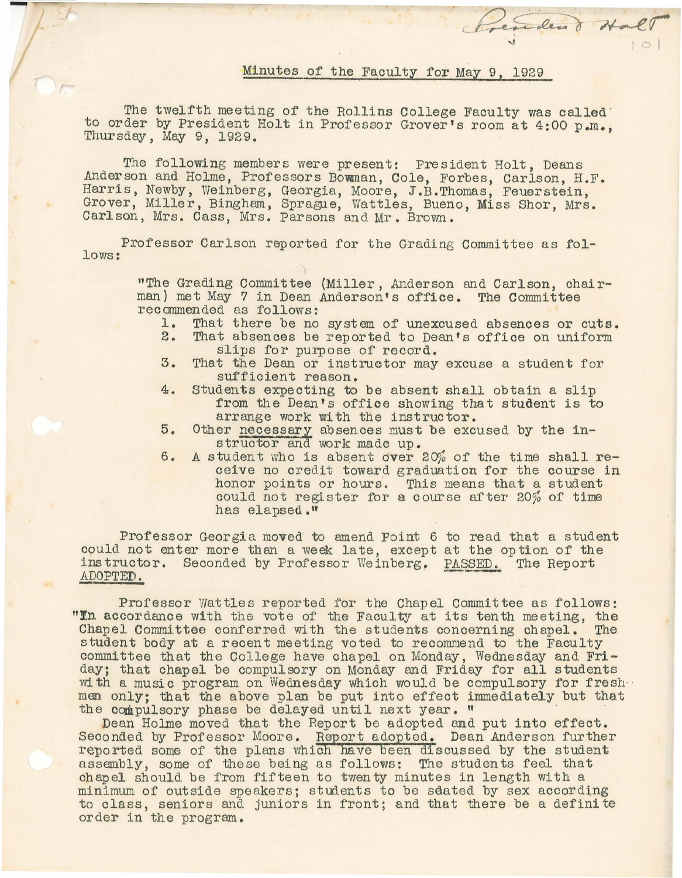## Minutes of the Faculty for May 9, 1929

President Hall

The twelfth meeting of the Rollins College Faculty was called to order by President Holt in Professor Grover's room at  $4:00$  p.m., Thursday, May 9, 1929.

The following members were present: President Holt, Deans Anderson and Holme, Professors Bowman, Cole, Forbes, Carlson, H.F. Harris, Newby, Weinberg, Georgia, Moore, J.B.Thomas, Feuerstein, Grover, Miller, Bingham, Sprague, Wattles, Bueno, Miss Shor, Mrs. Carlson, Mrs. Cass, Mrs. Parsons and Mr. Brown.

Professor Carlson reported for the Grading Committee as follows:

> "The Grading Committee (Miller, Anderson and Carlson, chairman) met May 7 in Dean Anderson's office. The Committee recommended as follows:<br>1. That there be no

- 1. That there be no system of unexcused absences or cuts.<br>2. That absences be reported to Dean's office on uniform
- That absences be reported to Dean's office on uniform slips for purpose of record.
- 3. That the Dean or instructor may excuse a student for sufficient reason.
- 4. Students expecting to be absent shall obtain a slip from the Dean's office showing that student is to arrange work with the instructor.
- 5. Other necessary absences must be excused by the instructor and work made up.
- 6. A student who is absent over  $20\%$  of the time shall receive no credit toward graduation for the course in honor points or hours. This means that a student could not register for a course after 20% of time has elapsed."

Professor Georgia moved to amend Point 6 to read that a student could not enter more than a week late, except at the option of the instructor. Seconded by Professor Weinberg. PASSED. The Report ADOPTED.

Professor wattles reported for the Chapel Committee as follows: "In accordance with the vote of the Faculty at its tenth meeting, the Chapel Committee conferred with the students concerning chapel. The Chapel Committee conferred with the students concerning chapel. The student body at a recent meeting voted to recommend to the Faculty committee that the College have chapel on Monday, Wednesday and Friday; that chapel be compulsory on Monday and Friday for all students with a music program on Wednesday which would be compulsory for fresh--<br>men only; that the above plan be put into effect immediately but that the compulsory phase be delayed until next year. "

Dean Holme moved that the Report be adopted and put into effect. Seconded by Professor Moore. Report adopted. Dean Anderson further reported some of the plans which have been discussed by the student assembly, some of these being as follows: The students feel that chapel should be f'rom fifteen to twenty minutes in length with <sup>a</sup> minimum of outside speakers; students to be seated by sex according to class, seniors and juniors in front; and that there be a definite order in the program.